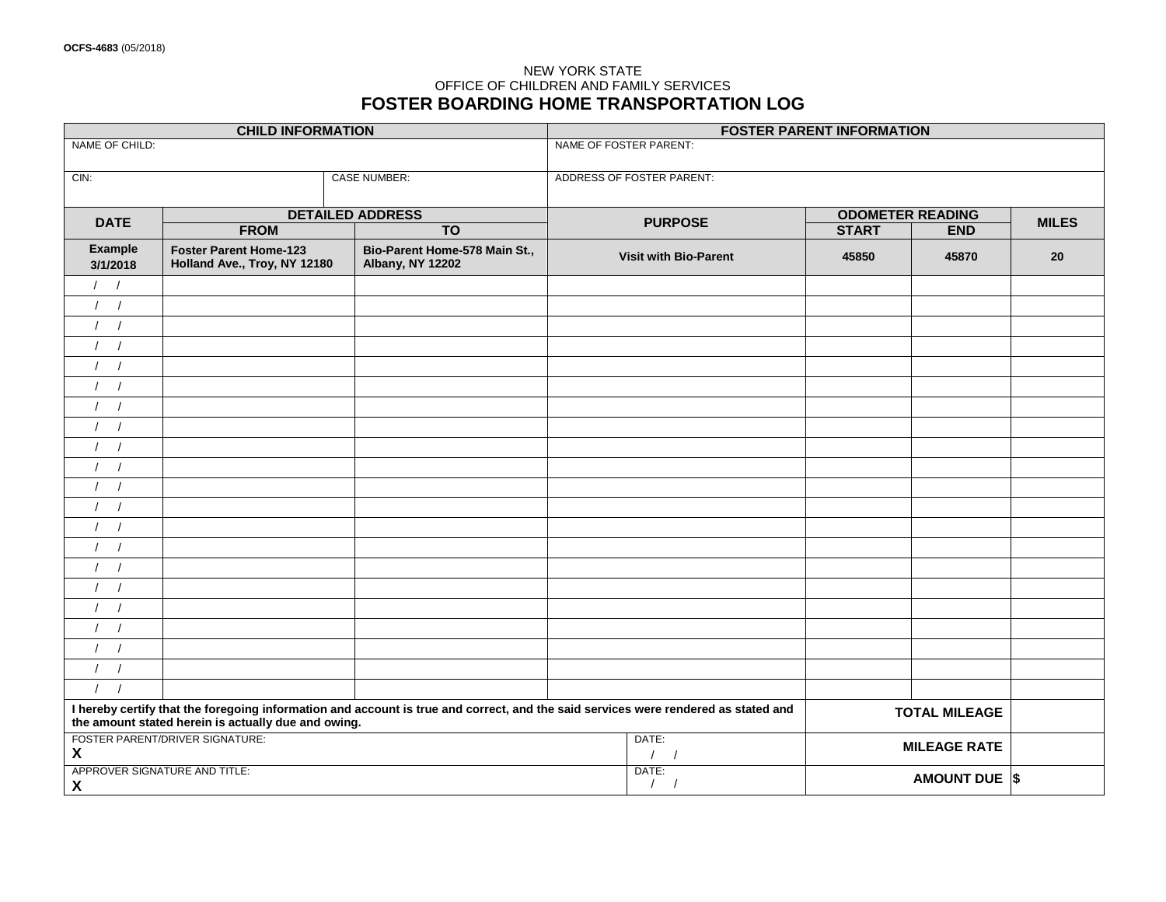### NEW YORK STATE OFFICE OF CHILDREN AND FAMILY SERVICES **FOSTER BOARDING HOME TRANSPORTATION LOG**

| <b>CHILD INFORMATION</b>                                                                                                                                                                  |                                                               |                                                          | <b>FOSTER PARENT INFORMATION</b> |                         |            |              |
|-------------------------------------------------------------------------------------------------------------------------------------------------------------------------------------------|---------------------------------------------------------------|----------------------------------------------------------|----------------------------------|-------------------------|------------|--------------|
| NAME OF CHILD:                                                                                                                                                                            |                                                               |                                                          | NAME OF FOSTER PARENT:           |                         |            |              |
| CIN:                                                                                                                                                                                      |                                                               | <b>CASE NUMBER:</b>                                      | ADDRESS OF FOSTER PARENT:        |                         |            |              |
| <b>DATE</b>                                                                                                                                                                               | <b>DETAILED ADDRESS</b>                                       |                                                          | <b>PURPOSE</b>                   | <b>ODOMETER READING</b> |            |              |
|                                                                                                                                                                                           | <b>FROM</b><br>$\overline{TO}$                                |                                                          |                                  | <b>START</b>            | <b>END</b> | <b>MILES</b> |
| <b>Example</b><br>3/1/2018                                                                                                                                                                | <b>Foster Parent Home-123</b><br>Holland Ave., Troy, NY 12180 | Bio-Parent Home-578 Main St.,<br><b>Albany, NY 12202</b> | <b>Visit with Bio-Parent</b>     | 45850                   | 45870      | 20           |
| $\frac{1}{2}$                                                                                                                                                                             |                                                               |                                                          |                                  |                         |            |              |
| $\sqrt{ }$<br>$\prime$                                                                                                                                                                    |                                                               |                                                          |                                  |                         |            |              |
| $\overline{1}$<br>$\prime$                                                                                                                                                                |                                                               |                                                          |                                  |                         |            |              |
| $\sqrt{ }$                                                                                                                                                                                |                                                               |                                                          |                                  |                         |            |              |
| $\left  \right $                                                                                                                                                                          |                                                               |                                                          |                                  |                         |            |              |
| $\sqrt{ }$<br>$\prime$                                                                                                                                                                    |                                                               |                                                          |                                  |                         |            |              |
| 1 <sup>1</sup>                                                                                                                                                                            |                                                               |                                                          |                                  |                         |            |              |
| $\sqrt{ }$<br>$\prime$                                                                                                                                                                    |                                                               |                                                          |                                  |                         |            |              |
| $\frac{1}{2}$                                                                                                                                                                             |                                                               |                                                          |                                  |                         |            |              |
| $1 \quad 1$                                                                                                                                                                               |                                                               |                                                          |                                  |                         |            |              |
| $\frac{1}{2}$                                                                                                                                                                             |                                                               |                                                          |                                  |                         |            |              |
| $\sqrt{ }$<br>$\prime$                                                                                                                                                                    |                                                               |                                                          |                                  |                         |            |              |
| 1 <sup>1</sup>                                                                                                                                                                            |                                                               |                                                          |                                  |                         |            |              |
| $\left  \right $                                                                                                                                                                          |                                                               |                                                          |                                  |                         |            |              |
| $\prime$<br>$\sqrt{ }$                                                                                                                                                                    |                                                               |                                                          |                                  |                         |            |              |
| 1 <sup>1</sup>                                                                                                                                                                            |                                                               |                                                          |                                  |                         |            |              |
| $\left  \right $                                                                                                                                                                          |                                                               |                                                          |                                  |                         |            |              |
| 1/                                                                                                                                                                                        |                                                               |                                                          |                                  |                         |            |              |
| $\frac{1}{2}$                                                                                                                                                                             |                                                               |                                                          |                                  |                         |            |              |
| 1 <sup>1</sup>                                                                                                                                                                            |                                                               |                                                          |                                  |                         |            |              |
| $\sqrt{ }$<br>$\prime$                                                                                                                                                                    |                                                               |                                                          |                                  |                         |            |              |
| I hereby certify that the foregoing information and account is true and correct, and the said services were rendered as stated and<br>the amount stated herein is actually due and owing. |                                                               |                                                          |                                  | <b>TOTAL MILEAGE</b>    |            |              |
| $\boldsymbol{X}$                                                                                                                                                                          | FOSTER PARENT/DRIVER SIGNATURE:                               |                                                          | DATE:<br>$\sqrt{ }$              | <b>MILEAGE RATE</b>     |            |              |
| $\boldsymbol{X}$                                                                                                                                                                          | APPROVER SIGNATURE AND TITLE:                                 |                                                          | DATE:<br>$\sqrt{ }$              | AMOUNT DUE \$           |            |              |